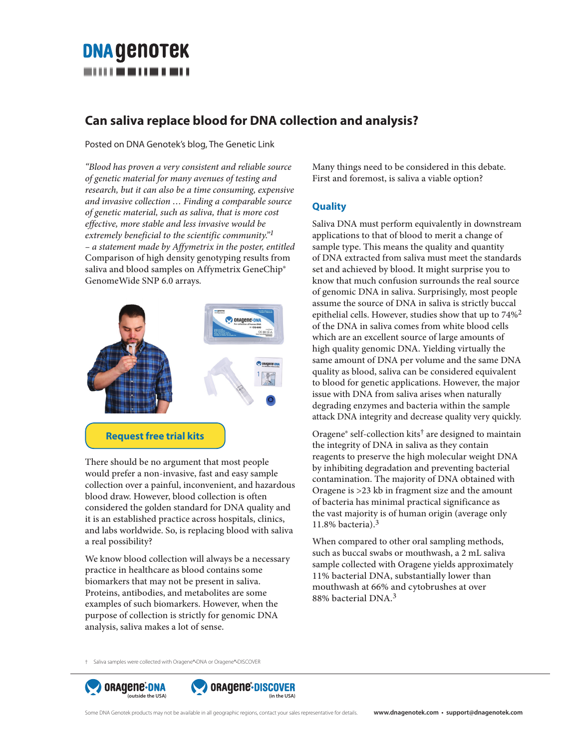# **DNA GENOTEK**

## **Can saliva replace blood for DNA collection and analysis?**

Posted on DNA Genotek's blog, The Genetic Link

*"Blood has proven a very consistent and reliable source of genetic material for many avenues of testing and research, but it can also be a time consuming, expensive and invasive collection … Finding a comparable source of genetic material, such as saliva, that is more cost effective, more stable and less invasive would be extremely beneficial to the scientific community."1 – a statement made by Affymetrix in the poster, entitled*  Comparison of high density genotyping results from saliva and blood samples on Affymetrix GeneChip® GenomeWide SNP 6.0 arrays*.*



There should be no argument that most people would prefer a non-invasive, fast and easy sample collection over a painful, inconvenient, and hazardous blood draw. However, blood collection is often considered the golden standard for DNA quality and it is an established practice across hospitals, clinics, and labs worldwide. So, is replacing blood with saliva a real possibility?

We know blood collection will always be a necessary practice in healthcare as blood contains some biomarkers that may not be present in saliva. Proteins, antibodies, and metabolites are some examples of such biomarkers. However, when the purpose of collection is strictly for genomic DNA analysis, saliva makes a lot of sense.

Many things need to be considered in this debate. First and foremost, is saliva a viable option?

### **Quality**

Saliva DNA must perform equivalently in downstream applications to that of blood to merit a change of sample type. This means the quality and quantity of DNA extracted from saliva must meet the standards set and achieved by blood. It might surprise you to know that much confusion surrounds the real source of genomic DNA in saliva. Surprisingly, most people assume the source of DNA in saliva is strictly buccal epithelial cells. However, studies show that up to 74%2 of the DNA in saliva comes from white blood cells which are an excellent source of large amounts of high quality genomic DNA. Yielding virtually the same amount of DNA per volume and the same DNA quality as blood, saliva can be considered equivalent to blood for genetic applications. However, the major issue with DNA from saliva arises when naturally degrading enzymes and bacteria within the sample attack DNA integrity and decrease quality very quickly.

Oragene $\degree$  self-collection kits<sup>†</sup> are designed to maintain the integrity of DNA in saliva as they contain reagents to preserve the high molecular weight DNA by inhibiting degradation and preventing bacterial contamination. The majority of DNA obtained with Oragene is >23 kb in fragment size and the amount of bacteria has minimal practical significance as the vast majority is of human origin (average only 11.8% bacteria).3

When compared to other oral sampling methods, such as buccal swabs or mouthwash, a 2 mL saliva sample collected with Oragene yields approximately 11% bacterial DNA, substantially lower than mouthwash at 66% and cytobrushes at over 88% bacterial DNA.3

† Saliva samples were collected with Oragene®•DNA or Oragene®•DISCOVER



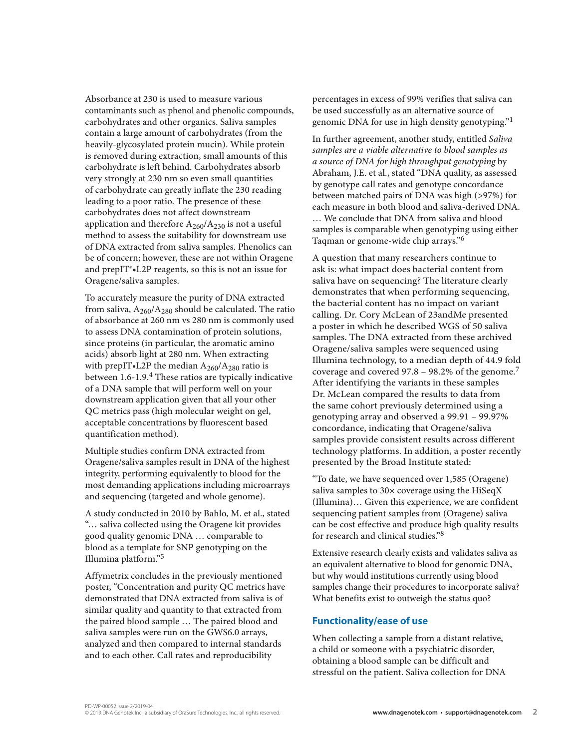Absorbance at 230 is used to measure various contaminants such as phenol and phenolic compounds, carbohydrates and other organics. Saliva samples contain a large amount of carbohydrates (from the heavily-glycosylated protein mucin). While protein is removed during extraction, small amounts of this carbohydrate is left behind. Carbohydrates absorb very strongly at 230 nm so even small quantities of carbohydrate can greatly inflate the 230 reading leading to a poor ratio. The presence of these carbohydrates does not affect downstream application and therefore  $A_{260}/A_{230}$  is not a useful method to assess the suitability for downstream use of DNA extracted from saliva samples. Phenolics can be of concern; however, these are not within Oragene and prepIT®•L2P reagents, so this is not an issue for Oragene/saliva samples.

To accurately measure the purity of DNA extracted from saliva,  $A_{260}/A_{280}$  should be calculated. The ratio of absorbance at 260 nm vs 280 nm is commonly used to assess DNA contamination of protein solutions, since proteins (in particular, the aromatic amino acids) absorb light at 280 nm. When extracting with prepIT•L2P the median  $A_{260}/A_{280}$  ratio is between 1.6-1.9.4 These ratios are typically indicative of a DNA sample that will perform well on your downstream application given that all your other QC metrics pass (high molecular weight on gel, acceptable concentrations by fluorescent based quantification method).

Multiple studies confirm DNA extracted from Oragene/saliva samples result in DNA of the highest integrity, performing equivalently to blood for the most demanding applications including microarrays and sequencing (targeted and whole genome).

A study conducted in 2010 by Bahlo, M. et al., stated "… saliva collected using the Oragene kit provides good quality genomic DNA … comparable to blood as a template for SNP genotyping on the Illumina platform."5

Affymetrix concludes in the previously mentioned poster, "Concentration and purity QC metrics have demonstrated that DNA extracted from saliva is of similar quality and quantity to that extracted from the paired blood sample … The paired blood and saliva samples were run on the GWS6.0 arrays, analyzed and then compared to internal standards and to each other. Call rates and reproducibility

percentages in excess of 99% verifies that saliva can be used successfully as an alternative source of genomic DNA for use in high density genotyping."1

In further agreement, another study, entitled *Saliva samples are a viable alternative to blood samples as a source of DNA for high throughput genotyping* by Abraham, J.E. et al., stated "DNA quality, as assessed by genotype call rates and genotype concordance between matched pairs of DNA was high (>97%) for each measure in both blood and saliva-derived DNA. … We conclude that DNA from saliva and blood samples is comparable when genotyping using either Taqman or genome-wide chip arrays."6

A question that many researchers continue to ask is: what impact does bacterial content from saliva have on sequencing? The literature clearly demonstrates that when performing sequencing, the bacterial content has no impact on variant calling. Dr. Cory McLean of 23andMe presented a poster in which he described WGS of 50 saliva samples. The DNA extracted from these archived Oragene/saliva samples were sequenced using Illumina technology, to a median depth of 44.9 fold coverage and covered 97.8 – 98.2% of the genome.7 After identifying the variants in these samples Dr. McLean compared the results to data from the same cohort previously determined using a genotyping array and observed a 99.91 – 99.97% concordance, indicating that Oragene/saliva samples provide consistent results across different technology platforms. In addition, a poster recently presented by the Broad Institute stated:

"To date, we have sequenced over 1,585 (Oragene) saliva samples to 30× coverage using the HiSeqX (Illumina)… Given this experience, we are confident sequencing patient samples from (Oragene) saliva can be cost effective and produce high quality results for research and clinical studies."8

Extensive research clearly exists and validates saliva as an equivalent alternative to blood for genomic DNA, but why would institutions currently using blood samples change their procedures to incorporate saliva? What benefits exist to outweigh the status quo?

#### **Functionality/ease of use**

When collecting a sample from a distant relative, a child or someone with a psychiatric disorder, obtaining a blood sample can be difficult and stressful on the patient. Saliva collection for DNA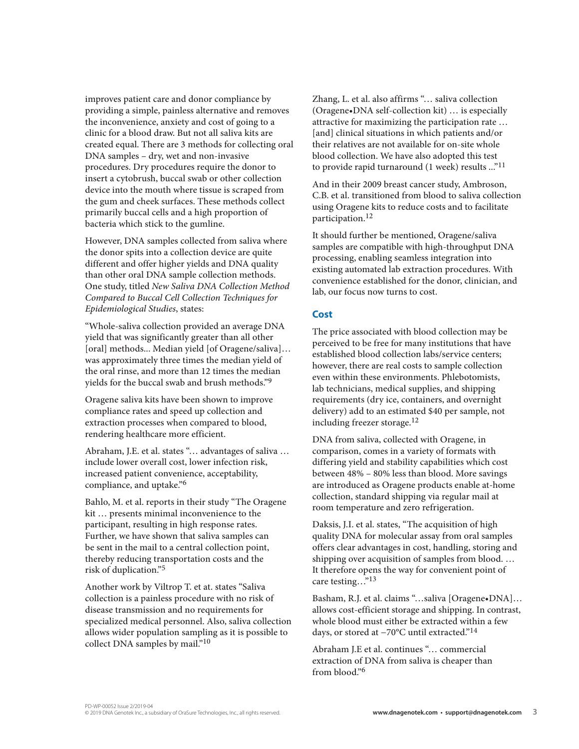improves patient care and donor compliance by providing a simple, painless alternative and removes the inconvenience, anxiety and cost of going to a clinic for a blood draw. But not all saliva kits are created equal. There are 3 methods for collecting oral DNA samples – dry, wet and non-invasive procedures. Dry procedures require the donor to insert a cytobrush, buccal swab or other collection device into the mouth where tissue is scraped from the gum and cheek surfaces. These methods collect primarily buccal cells and a high proportion of bacteria which stick to the gumline.

However, DNA samples collected from saliva where the donor spits into a collection device are quite different and offer higher yields and DNA quality than other oral DNA sample collection methods. One study, titled *New Saliva DNA Collection Method Compared to Buccal Cell Collection Techniques for Epidemiological Studies*, states:

"Whole-saliva collection provided an average DNA yield that was significantly greater than all other [oral] methods... Median yield [of Oragene/saliva]… was approximately three times the median yield of the oral rinse, and more than 12 times the median yields for the buccal swab and brush methods."<sup>9</sup>

Oragene saliva kits have been shown to improve compliance rates and speed up collection and extraction processes when compared to blood, rendering healthcare more efficient.

Abraham, J.E. et al. states "… advantages of saliva … include lower overall cost, lower infection risk, increased patient convenience, acceptability, compliance, and uptake."6

Bahlo, M. et al. reports in their study "The Oragene kit … presents minimal inconvenience to the participant, resulting in high response rates. Further, we have shown that saliva samples can be sent in the mail to a central collection point, thereby reducing transportation costs and the risk of duplication."5

Another work by Viltrop T. et at. states "Saliva collection is a painless procedure with no risk of disease transmission and no requirements for specialized medical personnel. Also, saliva collection allows wider population sampling as it is possible to collect DNA samples by mail."10

Zhang, L. et al. also affirms "… saliva collection (Oragene•DNA self-collection kit) … is especially attractive for maximizing the participation rate … [and] clinical situations in which patients and/or their relatives are not available for on-site whole blood collection. We have also adopted this test to provide rapid turnaround (1 week) results ..."<sup>11</sup>

And in their 2009 breast cancer study, Ambroson, C.B. et al. transitioned from blood to saliva collection using Oragene kits to reduce costs and to facilitate participation.12

It should further be mentioned, Oragene/saliva samples are compatible with high-throughput DNA processing, enabling seamless integration into existing automated lab extraction procedures. With convenience established for the donor, clinician, and lab, our focus now turns to cost.

#### **Cost**

The price associated with blood collection may be perceived to be free for many institutions that have established blood collection labs/service centers; however, there are real costs to sample collection even within these environments. Phlebotomists, lab technicians, medical supplies, and shipping requirements (dry ice, containers, and overnight delivery) add to an estimated \$40 per sample, not including freezer storage.<sup>12</sup>

DNA from saliva, collected with Oragene, in comparison, comes in a variety of formats with differing yield and stability capabilities which cost between 48% – 80% less than blood. More savings are introduced as Oragene products enable at-home collection, standard shipping via regular mail at room temperature and zero refrigeration.

Daksis, J.I. et al. states, "The acquisition of high quality DNA for molecular assay from oral samples offers clear advantages in cost, handling, storing and shipping over acquisition of samples from blood. … It therefore opens the way for convenient point of care testing…"<sup>13</sup>

Basham, R.J. et al. claims "…saliva [Oragene•DNA]… allows cost-efficient storage and shipping. In contrast, whole blood must either be extracted within a few days, or stored at −70°C until extracted."14

Abraham J.E et al. continues "… commercial extraction of DNA from saliva is cheaper than from blood."<sup>6</sup>